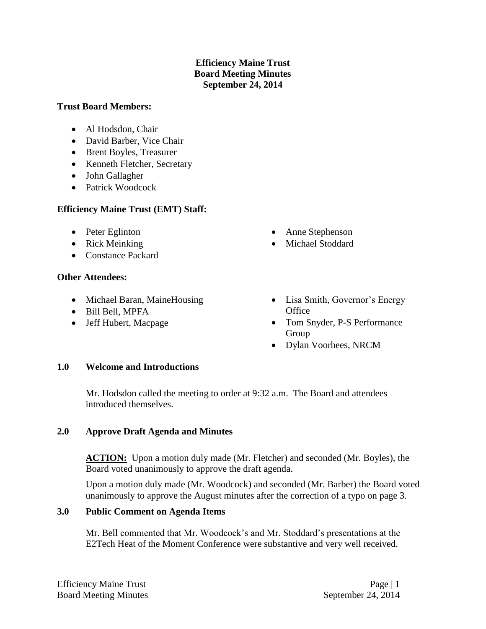# **Efficiency Maine Trust Board Meeting Minutes September 24, 2014**

#### **Trust Board Members:**

- Al Hodsdon, Chair
- David Barber, Vice Chair
- Brent Boyles, Treasurer
- Kenneth Fletcher, Secretary
- John Gallagher
- Patrick Woodcock

# **Efficiency Maine Trust (EMT) Staff:**

- Peter Eglinton
- Rick Meinking
- Constance Packard

### **Other Attendees:**

- Michael Baran, MaineHousing
- Bill Bell, MPFA
- Jeff Hubert, Macpage
- Anne Stephenson
- Michael Stoddard
- Lisa Smith, Governor's Energy **Office**
- Tom Snyder, P-S Performance Group
- Dylan Voorhees, NRCM

### **1.0 Welcome and Introductions**

Mr. Hodsdon called the meeting to order at 9:32 a.m. The Board and attendees introduced themselves.

### **2.0 Approve Draft Agenda and Minutes**

**ACTION:** Upon a motion duly made (Mr. Fletcher) and seconded (Mr. Boyles), the Board voted unanimously to approve the draft agenda.

Upon a motion duly made (Mr. Woodcock) and seconded (Mr. Barber) the Board voted unanimously to approve the August minutes after the correction of a typo on page 3.

### **3.0 Public Comment on Agenda Items**

Mr. Bell commented that Mr. Woodcock's and Mr. Stoddard's presentations at the E2Tech Heat of the Moment Conference were substantive and very well received.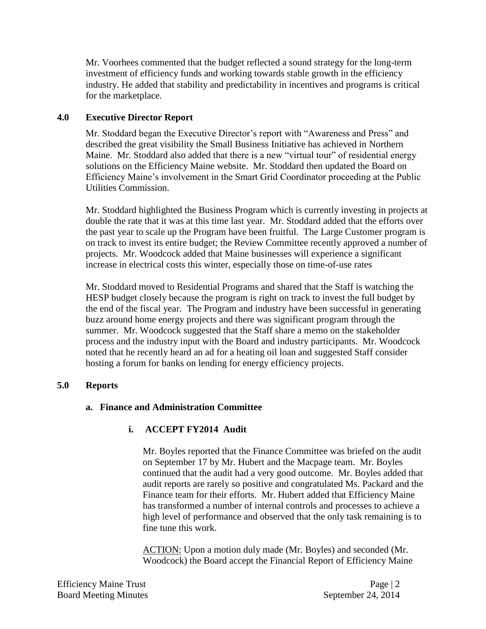Mr. Voorhees commented that the budget reflected a sound strategy for the long-term investment of efficiency funds and working towards stable growth in the efficiency industry. He added that stability and predictability in incentives and programs is critical for the marketplace.

# **4.0 Executive Director Report**

Mr. Stoddard began the Executive Director's report with "Awareness and Press" and described the great visibility the Small Business Initiative has achieved in Northern Maine. Mr. Stoddard also added that there is a new "virtual tour" of residential energy solutions on the Efficiency Maine website. Mr. Stoddard then updated the Board on Efficiency Maine's involvement in the Smart Grid Coordinator proceeding at the Public Utilities Commission.

Mr. Stoddard highlighted the Business Program which is currently investing in projects at double the rate that it was at this time last year. Mr. Stoddard added that the efforts over the past year to scale up the Program have been fruitful. The Large Customer program is on track to invest its entire budget; the Review Committee recently approved a number of projects. Mr. Woodcock added that Maine businesses will experience a significant increase in electrical costs this winter, especially those on time-of-use rates

Mr. Stoddard moved to Residential Programs and shared that the Staff is watching the HESP budget closely because the program is right on track to invest the full budget by the end of the fiscal year. The Program and industry have been successful in generating buzz around home energy projects and there was significant program through the summer. Mr. Woodcock suggested that the Staff share a memo on the stakeholder process and the industry input with the Board and industry participants. Mr. Woodcock noted that he recently heard an ad for a heating oil loan and suggested Staff consider hosting a forum for banks on lending for energy efficiency projects.

### **5.0 Reports**

### **a. Finance and Administration Committee**

# **i. ACCEPT FY2014 Audit**

Mr. Boyles reported that the Finance Committee was briefed on the audit on September 17 by Mr. Hubert and the Macpage team. Mr. Boyles continued that the audit had a very good outcome. Mr. Boyles added that audit reports are rarely so positive and congratulated Ms. Packard and the Finance team for their efforts. Mr. Hubert added that Efficiency Maine has transformed a number of internal controls and processes to achieve a high level of performance and observed that the only task remaining is to fine tune this work.

ACTION: Upon a motion duly made (Mr. Boyles) and seconded (Mr. Woodcock) the Board accept the Financial Report of Efficiency Maine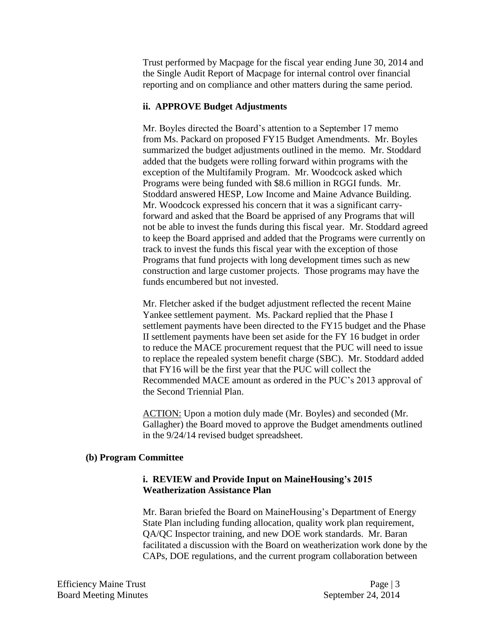Trust performed by Macpage for the fiscal year ending June 30, 2014 and the Single Audit Report of Macpage for internal control over financial reporting and on compliance and other matters during the same period.

#### **ii. APPROVE Budget Adjustments**

Mr. Boyles directed the Board's attention to a September 17 memo from Ms. Packard on proposed FY15 Budget Amendments. Mr. Boyles summarized the budget adjustments outlined in the memo. Mr. Stoddard added that the budgets were rolling forward within programs with the exception of the Multifamily Program. Mr. Woodcock asked which Programs were being funded with \$8.6 million in RGGI funds. Mr. Stoddard answered HESP, Low Income and Maine Advance Building. Mr. Woodcock expressed his concern that it was a significant carryforward and asked that the Board be apprised of any Programs that will not be able to invest the funds during this fiscal year. Mr. Stoddard agreed to keep the Board apprised and added that the Programs were currently on track to invest the funds this fiscal year with the exception of those Programs that fund projects with long development times such as new construction and large customer projects. Those programs may have the funds encumbered but not invested.

Mr. Fletcher asked if the budget adjustment reflected the recent Maine Yankee settlement payment. Ms. Packard replied that the Phase I settlement payments have been directed to the FY15 budget and the Phase II settlement payments have been set aside for the FY 16 budget in order to reduce the MACE procurement request that the PUC will need to issue to replace the repealed system benefit charge (SBC). Mr. Stoddard added that FY16 will be the first year that the PUC will collect the Recommended MACE amount as ordered in the PUC's 2013 approval of the Second Triennial Plan.

ACTION: Upon a motion duly made (Mr. Boyles) and seconded (Mr. Gallagher) the Board moved to approve the Budget amendments outlined in the 9/24/14 revised budget spreadsheet.

#### **(b) Program Committee**

#### **i. REVIEW and Provide Input on MaineHousing's 2015 Weatherization Assistance Plan**

Mr. Baran briefed the Board on MaineHousing's Department of Energy State Plan including funding allocation, quality work plan requirement, QA/QC Inspector training, and new DOE work standards. Mr. Baran facilitated a discussion with the Board on weatherization work done by the CAPs, DOE regulations, and the current program collaboration between